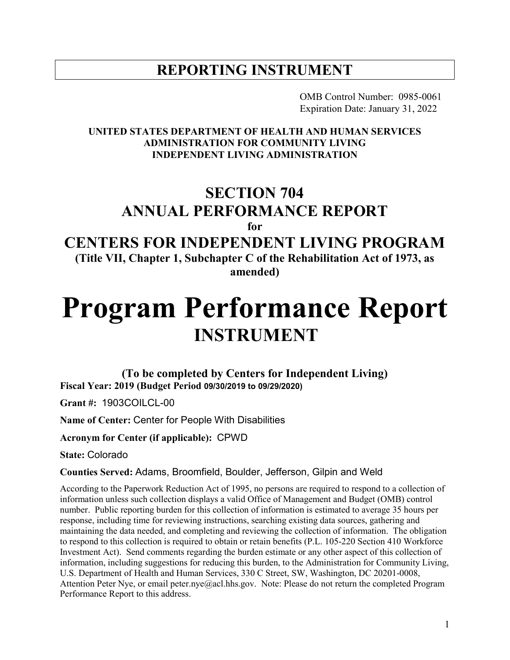# **REPORTING INSTRUMENT**

OMB Control Number: 0985-0061 Expiration Date: January 31, 2022

#### **UNITED STATES DEPARTMENT OF HEALTH AND HUMAN SERVICES ADMINISTRATION FOR COMMUNITY LIVING INDEPENDENT LIVING ADMINISTRATION**

# **SECTION 704 ANNUAL PERFORMANCE REPORT**

**for**

# **CENTERS FOR INDEPENDENT LIVING PROGRAM**

**(Title VII, Chapter 1, Subchapter C of the Rehabilitation Act of 1973, as amended)**

# **Program Performance Report INSTRUMENT**

**(To be completed by Centers for Independent Living) Fiscal Year: 2019 (Budget Period 09/30/2019 to 09/29/2020)**

**Grant #:** 1903COILCL-00

**Name of Center:** Center for People With Disabilities

**Acronym for Center (if applicable):** CPWD

**State:** Colorado

**Counties Served:** Adams, Broomfield, Boulder, Jefferson, Gilpin and Weld

According to the Paperwork Reduction Act of 1995, no persons are required to respond to a collection of information unless such collection displays a valid Office of Management and Budget (OMB) control number. Public reporting burden for this collection of information is estimated to average 35 hours per response, including time for reviewing instructions, searching existing data sources, gathering and maintaining the data needed, and completing and reviewing the collection of information. The obligation to respond to this collection is required to obtain or retain benefits (P.L. 105-220 Section 410 Workforce Investment Act). Send comments regarding the burden estimate or any other aspect of this collection of information, including suggestions for reducing this burden, to the Administration for Community Living, U.S. Department of Health and Human Services, 330 C Street, SW, Washington, DC 20201-0008, Attention Peter Nye, or email peter.nye@acl.hhs.gov. Note: Please do not return the completed Program Performance Report to this address.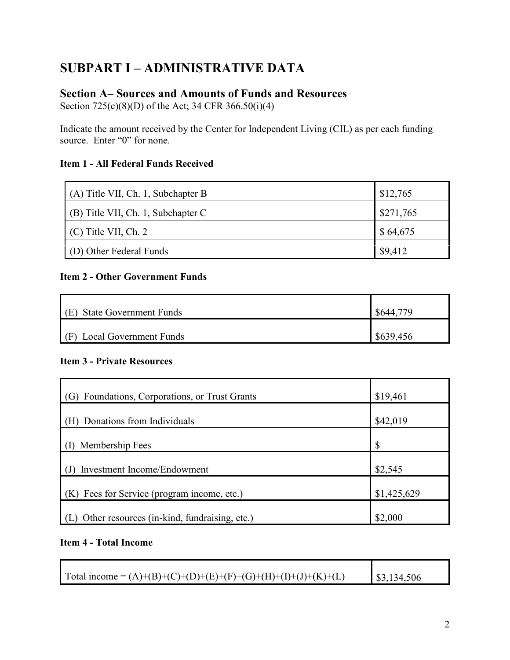# **SUBPART I – ADMINISTRATIVE DATA**

### **Section A– Sources and Amounts of Funds and Resources**

Section 725(c)(8)(D) of the Act; 34 CFR 366.50(i)(4)

Indicate the amount received by the Center for Independent Living (CIL) as per each funding source. Enter "0" for none.

#### **Item 1 - All Federal Funds Received**

| (A) Title VII, Ch. 1, Subchapter B | \$12,765  |
|------------------------------------|-----------|
| (B) Title VII, Ch. 1, Subchapter C | \$271,765 |
| $(C)$ Title VII, Ch. 2             | \$64,675  |
| (D) Other Federal Funds            | \$9,412   |

#### **Item 2 - Other Government Funds**

| $(E)$ State Government Funds | \$644.    |
|------------------------------|-----------|
| $(F)$ Local Government Funds | \$639,456 |

#### **Item 3 - Private Resources**

| (G) Foundations, Corporations, or Trust Grants | \$19,461    |
|------------------------------------------------|-------------|
| (H) Donations from Individuals                 | \$42,019    |
| Membership Fees                                | \$          |
| Investment Income/Endowment                    | \$2,545     |
| (K) Fees for Service (program income, etc.)    | \$1,425,629 |
| Other resources (in-kind, fundraising, etc.)   | \$2,000     |

#### **Item 4 - Total Income**

| Total income = $(A)+(B)+(C)+(D)+(E)+(F)+(G)+(H)+(I)+(J)+(K)+(L)$ | \$3,134,506 |
|------------------------------------------------------------------|-------------|

<u> 1980 - Johann Barnett, fransk politiker (d. 1980)</u>

 $\overline{\phantom{0}}$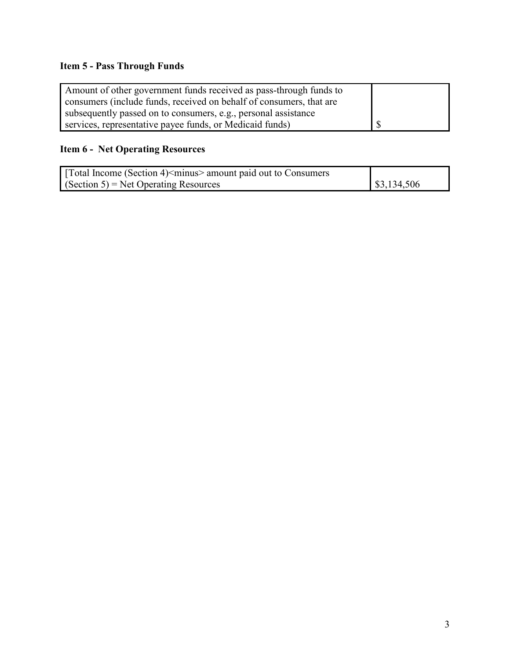# **Item 5 - Pass Through Funds**

| Amount of other government funds received as pass-through funds to  |  |
|---------------------------------------------------------------------|--|
| consumers (include funds, received on behalf of consumers, that are |  |
| subsequently passed on to consumers, e.g., personal assistance      |  |
| services, representative payee funds, or Medicaid funds)            |  |

# **Item 6 - Net Operating Resources**

| Total Income (Section 4) <minus> amount paid out to Consumers</minus> |             |
|-----------------------------------------------------------------------|-------------|
| $\Gamma$ (Section 5) = Net Operating Resources                        | \$3,134,506 |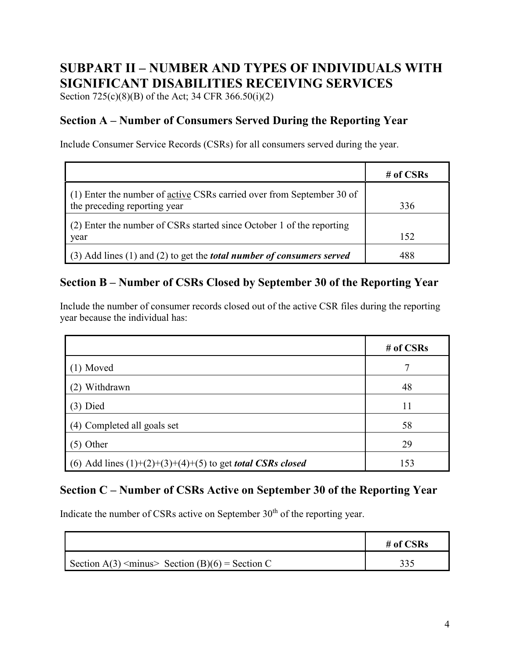# **SUBPART II – NUMBER AND TYPES OF INDIVIDUALS WITH SIGNIFICANT DISABILITIES RECEIVING SERVICES**

Section 725(c)(8)(B) of the Act; 34 CFR 366.50(i)(2)

# **Section A – Number of Consumers Served During the Reporting Year**

Include Consumer Service Records (CSRs) for all consumers served during the year.

|                                                                                    | # of $CSRs$ |
|------------------------------------------------------------------------------------|-------------|
| (1) Enter the number of active CSRs carried over from September 30 of              |             |
| the preceding reporting year                                                       | 336         |
| (2) Enter the number of CSRs started since October 1 of the reporting              |             |
| year                                                                               | 152         |
| $(3)$ Add lines $(1)$ and $(2)$ to get the <i>total number of consumers served</i> | 488         |

### **Section B – Number of CSRs Closed by September 30 of the Reporting Year**

Include the number of consumer records closed out of the active CSR files during the reporting year because the individual has:

|                                                                     | # of $CSRs$ |
|---------------------------------------------------------------------|-------------|
| $(1)$ Moved                                                         |             |
| (2) Withdrawn                                                       | 48          |
| $(3)$ Died                                                          | 11          |
| (4) Completed all goals set                                         | 58          |
| $(5)$ Other                                                         | 29          |
| (6) Add lines $(1)+(2)+(3)+(4)+(5)$ to get <i>total CSRs closed</i> | 153         |

### **Section C – Number of CSRs Active on September 30 of the Reporting Year**

Indicate the number of CSRs active on September  $30<sup>th</sup>$  of the reporting year.

|                                                             | # of $CSRs$ |
|-------------------------------------------------------------|-------------|
| Section A(3) $\leq$ minus $\geq$ Section (B)(6) = Section C |             |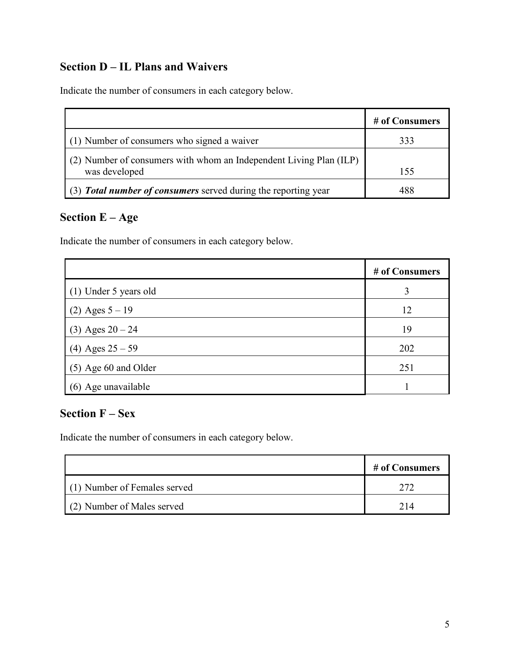# **Section D – IL Plans and Waivers**

Indicate the number of consumers in each category below.

|                                                                                     | # of Consumers |
|-------------------------------------------------------------------------------------|----------------|
| (1) Number of consumers who signed a waiver                                         | 333            |
| (2) Number of consumers with whom an Independent Living Plan (ILP)<br>was developed | 155            |
| (3) <b>Total number of consumers</b> served during the reporting year               | 488            |

# **Section E – Age**

Indicate the number of consumers in each category below.

|                        | # of Consumers |
|------------------------|----------------|
| (1) Under 5 years old  | 3              |
| (2) Ages $5 - 19$      | 12             |
| $(3)$ Ages $20 - 24$   | 19             |
| (4) Ages $25 - 59$     | 202            |
| $(5)$ Age 60 and Older | 251            |
| (6) Age unavailable    |                |

## **Section F – Sex**

Indicate the number of consumers in each category below.

|                              | # of Consumers |
|------------------------------|----------------|
| (1) Number of Females served |                |
| (2) Number of Males served   | 214            |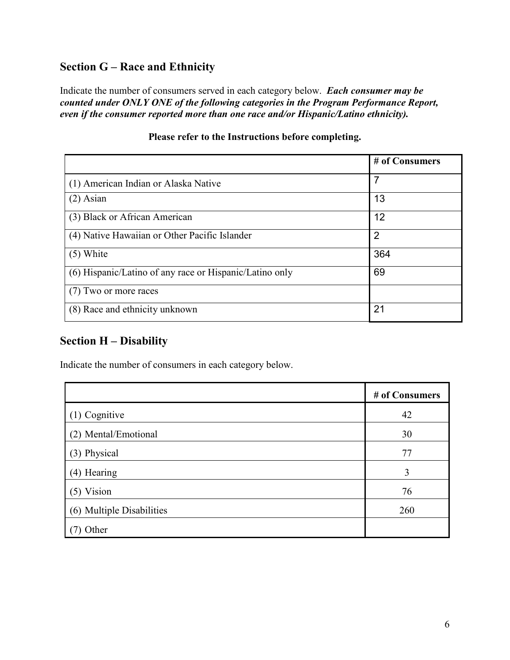# **Section G – Race and Ethnicity**

Indicate the number of consumers served in each category below. *Each consumer may be counted under ONLY ONE of the following categories in the Program Performance Report, even if the consumer reported more than one race and/or Hispanic/Latino ethnicity).*

|                                                         | # of Consumers |
|---------------------------------------------------------|----------------|
| (1) American Indian or Alaska Native                    | $\overline{7}$ |
| $(2)$ Asian                                             | 13             |
| (3) Black or African American                           | 12             |
| (4) Native Hawaiian or Other Pacific Islander           | $\overline{2}$ |
| $(5)$ White                                             | 364            |
| (6) Hispanic/Latino of any race or Hispanic/Latino only | 69             |
| (7) Two or more races                                   |                |
| (8) Race and ethnicity unknown                          | 21             |

#### **Please refer to the Instructions before completing.**

### **Section H – Disability**

Indicate the number of consumers in each category below.

|                           | # of Consumers |
|---------------------------|----------------|
| (1) Cognitive             | 42             |
| (2) Mental/Emotional      | 30             |
| (3) Physical              | 77             |
| (4) Hearing               | 3              |
| $(5)$ Vision              | 76             |
| (6) Multiple Disabilities | 260            |
| Other                     |                |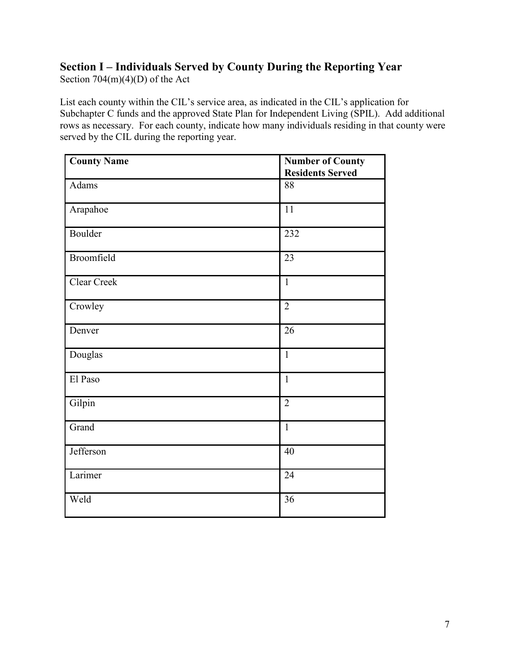# **Section I – Individuals Served by County During the Reporting Year**

Section 704(m)(4)(D) of the Act

List each county within the CIL's service area, as indicated in the CIL's application for Subchapter C funds and the approved State Plan for Independent Living (SPIL). Add additional rows as necessary. For each county, indicate how many individuals residing in that county were served by the CIL during the reporting year.

| <b>County Name</b> | <b>Number of County</b><br><b>Residents Served</b> |
|--------------------|----------------------------------------------------|
| Adams              | 88                                                 |
| Arapahoe           | $\overline{11}$                                    |
| Boulder            | 232                                                |
| Broomfield         | 23                                                 |
| Clear Creek        | $\mathbf{1}$                                       |
| Crowley            | $\overline{2}$                                     |
| Denver             | 26                                                 |
| Douglas            | $\mathbf{1}$                                       |
| El Paso            | $\mathbf{1}$                                       |
| Gilpin             | $\overline{2}$                                     |
| Grand              | $\mathbf{1}$                                       |
| Jefferson          | 40                                                 |
| Larimer            | 24                                                 |
| Weld               | 36                                                 |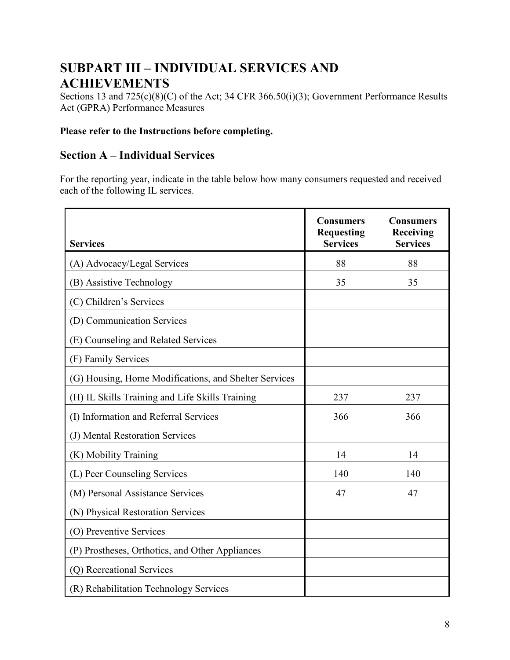# **SUBPART III – INDIVIDUAL SERVICES AND ACHIEVEMENTS**

Sections 13 and 725(c)(8)(C) of the Act; 34 CFR 366.50(i)(3); Government Performance Results Act (GPRA) Performance Measures

#### **Please refer to the Instructions before completing.**

### **Section A – Individual Services**

For the reporting year, indicate in the table below how many consumers requested and received each of the following IL services.

| <b>Services</b>                                       | <b>Consumers</b><br><b>Requesting</b><br><b>Services</b> | Consumers<br><b>Receiving</b><br><b>Services</b> |
|-------------------------------------------------------|----------------------------------------------------------|--------------------------------------------------|
| (A) Advocacy/Legal Services                           | 88                                                       | 88                                               |
| (B) Assistive Technology                              | 35                                                       | 35                                               |
| (C) Children's Services                               |                                                          |                                                  |
| (D) Communication Services                            |                                                          |                                                  |
| (E) Counseling and Related Services                   |                                                          |                                                  |
| (F) Family Services                                   |                                                          |                                                  |
| (G) Housing, Home Modifications, and Shelter Services |                                                          |                                                  |
| (H) IL Skills Training and Life Skills Training       | 237                                                      | 237                                              |
| (I) Information and Referral Services                 | 366                                                      | 366                                              |
| (J) Mental Restoration Services                       |                                                          |                                                  |
| (K) Mobility Training                                 | 14                                                       | 14                                               |
| (L) Peer Counseling Services                          | 140                                                      | 140                                              |
| (M) Personal Assistance Services                      | 47                                                       | 47                                               |
| (N) Physical Restoration Services                     |                                                          |                                                  |
| (O) Preventive Services                               |                                                          |                                                  |
| (P) Prostheses, Orthotics, and Other Appliances       |                                                          |                                                  |
| (Q) Recreational Services                             |                                                          |                                                  |
| (R) Rehabilitation Technology Services                |                                                          |                                                  |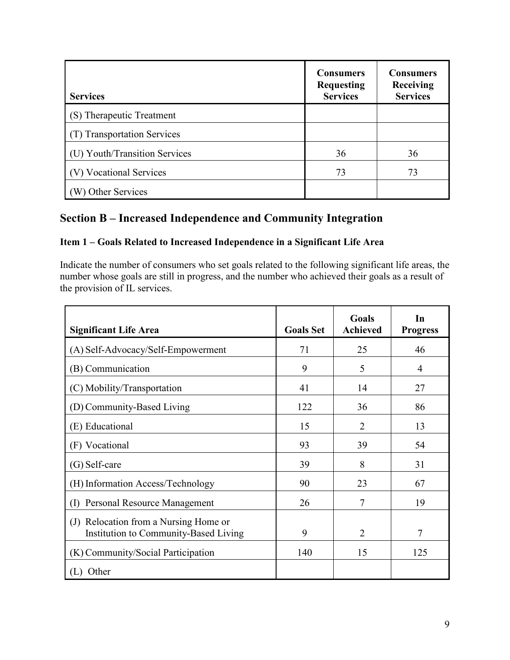| <b>Services</b>               | <b>Consumers</b><br><b>Requesting</b><br><b>Services</b> | <b>Consumers</b><br>Receiving<br><b>Services</b> |
|-------------------------------|----------------------------------------------------------|--------------------------------------------------|
| (S) Therapeutic Treatment     |                                                          |                                                  |
| (T) Transportation Services   |                                                          |                                                  |
| (U) Youth/Transition Services | 36                                                       | 36                                               |
| (V) Vocational Services       | 73                                                       | 73                                               |
| W) Other Services             |                                                          |                                                  |

# **Section B – Increased Independence and Community Integration**

#### **Item 1 – Goals Related to Increased Independence in a Significant Life Area**

Indicate the number of consumers who set goals related to the following significant life areas, the number whose goals are still in progress, and the number who achieved their goals as a result of the provision of IL services.

| <b>Significant Life Area</b>                                                      | <b>Goals Set</b> | Goals<br><b>Achieved</b> | In<br><b>Progress</b> |
|-----------------------------------------------------------------------------------|------------------|--------------------------|-----------------------|
| (A) Self-Advocacy/Self-Empowerment                                                | 71               | 25                       | 46                    |
| (B) Communication                                                                 | 9                | 5                        | 4                     |
| (C) Mobility/Transportation                                                       | 41               | 14                       | 27                    |
| (D) Community-Based Living                                                        | 122              | 36                       | 86                    |
| (E) Educational                                                                   | 15               | 2                        | 13                    |
| (F) Vocational                                                                    | 93               | 39                       | 54                    |
| $(G)$ Self-care                                                                   | 39               | 8                        | 31                    |
| (H) Information Access/Technology                                                 | 90               | 23                       | 67                    |
| Personal Resource Management<br>$\rm(D)$                                          | 26               | 7                        | 19                    |
| Relocation from a Nursing Home or<br>(J)<br>Institution to Community-Based Living | 9                | $\overline{2}$           | 7                     |
| (K) Community/Social Participation                                                | 140              | 15                       | 125                   |
| Other                                                                             |                  |                          |                       |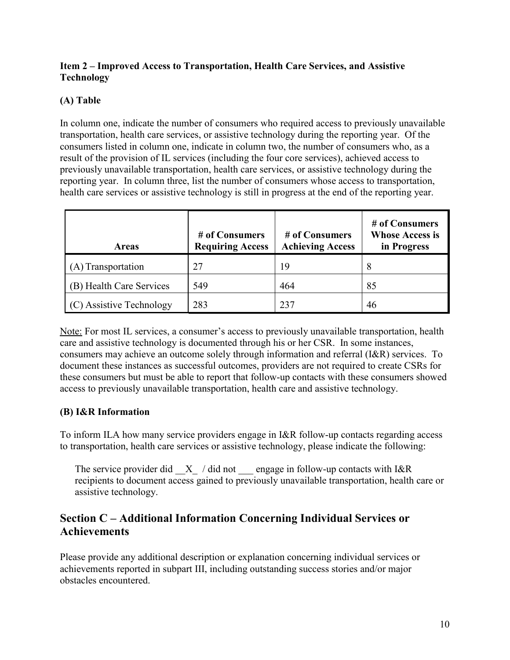#### **Item 2 – Improved Access to Transportation, Health Care Services, and Assistive Technology**

#### **(A) Table**

In column one, indicate the number of consumers who required access to previously unavailable transportation, health care services, or assistive technology during the reporting year. Of the consumers listed in column one, indicate in column two, the number of consumers who, as a result of the provision of IL services (including the four core services), achieved access to previously unavailable transportation, health care services, or assistive technology during the reporting year. In column three, list the number of consumers whose access to transportation, health care services or assistive technology is still in progress at the end of the reporting year.

| <b>Areas</b>             | # of Consumers<br><b>Requiring Access</b> | # of Consumers<br><b>Achieving Access</b> | # of Consumers<br><b>Whose Access is</b><br>in Progress |
|--------------------------|-------------------------------------------|-------------------------------------------|---------------------------------------------------------|
| (A) Transportation       | 27                                        | 19                                        | 8                                                       |
| (B) Health Care Services | 549                                       | 464                                       | 85                                                      |
| (C) Assistive Technology | 283                                       | 237                                       | 46                                                      |

Note: For most IL services, a consumer's access to previously unavailable transportation, health care and assistive technology is documented through his or her CSR. In some instances, consumers may achieve an outcome solely through information and referral (I&R) services. To document these instances as successful outcomes, providers are not required to create CSRs for these consumers but must be able to report that follow-up contacts with these consumers showed access to previously unavailable transportation, health care and assistive technology.

#### **(B) I&R Information**

To inform ILA how many service providers engage in I&R follow-up contacts regarding access to transportation, health care services or assistive technology, please indicate the following:

The service provider did  $X$  / did not engage in follow-up contacts with I&R recipients to document access gained to previously unavailable transportation, health care or assistive technology.

### **Section C – Additional Information Concerning Individual Services or Achievements**

Please provide any additional description or explanation concerning individual services or achievements reported in subpart III, including outstanding success stories and/or major obstacles encountered.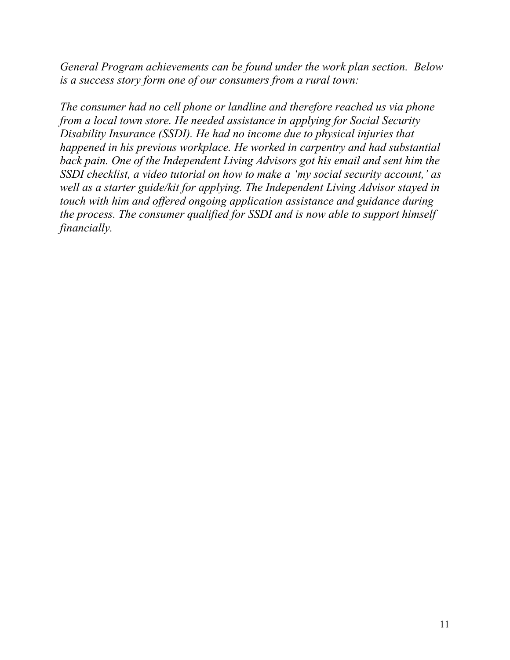*General Program achievements can be found under the work plan section. Below is a success story form one of our consumers from a rural town:* 

*The consumer had no cell phone or landline and therefore reached us via phone from a local town store. He needed assistance in applying for Social Security Disability Insurance (SSDI). He had no income due to physical injuries that happened in his previous workplace. He worked in carpentry and had substantial back pain. One of the Independent Living Advisors got his email and sent him the SSDI checklist, a video tutorial on how to make a 'my social security account,' as well as a starter guide/kit for applying. The Independent Living Advisor stayed in touch with him and offered ongoing application assistance and guidance during the process. The consumer qualified for SSDI and is now able to support himself financially.*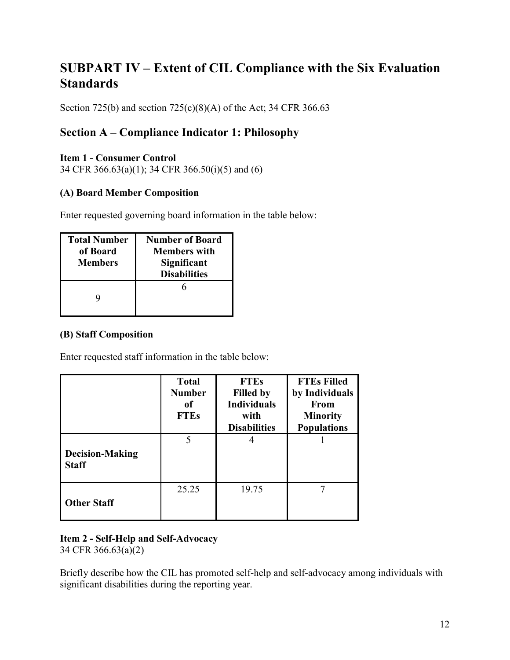# **SUBPART IV – Extent of CIL Compliance with the Six Evaluation Standards**

Section 725(b) and section 725(c)(8)(A) of the Act; 34 CFR 366.63

### **Section A – Compliance Indicator 1: Philosophy**

#### **Item 1 - Consumer Control**

34 CFR 366.63(a)(1); 34 CFR 366.50(i)(5) and (6)

#### **(A) Board Member Composition**

Enter requested governing board information in the table below:

| <b>Total Number</b><br>of Board<br><b>Members</b> | <b>Number of Board</b><br><b>Members with</b><br>Significant<br><b>Disabilities</b> |
|---------------------------------------------------|-------------------------------------------------------------------------------------|
|                                                   |                                                                                     |

#### **(B) Staff Composition**

Enter requested staff information in the table below:

|                                        | <b>Total</b><br><b>Number</b><br>0f<br><b>FTEs</b> | <b>FTEs</b><br><b>Filled by</b><br><b>Individuals</b><br>with<br><b>Disabilities</b> | <b>FTEs Filled</b><br>by Individuals<br>From<br><b>Minority</b><br><b>Populations</b> |
|----------------------------------------|----------------------------------------------------|--------------------------------------------------------------------------------------|---------------------------------------------------------------------------------------|
| <b>Decision-Making</b><br><b>Staff</b> | 5                                                  | 4                                                                                    |                                                                                       |
| <b>Other Staff</b>                     | 25.25                                              | 19.75                                                                                |                                                                                       |

# **Item 2 - Self-Help and Self-Advocacy**

34 CFR 366.63(a)(2)

Briefly describe how the CIL has promoted self-help and self-advocacy among individuals with significant disabilities during the reporting year.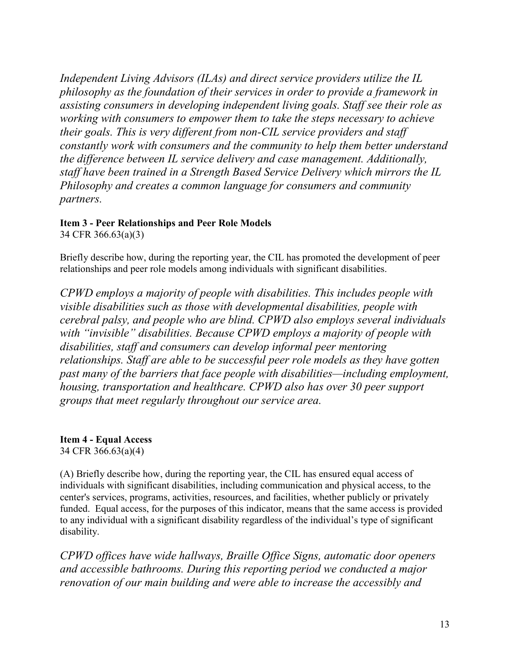*Independent Living Advisors (ILAs) and direct service providers utilize the IL philosophy as the foundation of their services in order to provide a framework in assisting consumers in developing independent living goals. Staff see their role as working with consumers to empower them to take the steps necessary to achieve their goals. This is very different from non-CIL service providers and staff constantly work with consumers and the community to help them better understand the difference between IL service delivery and case management. Additionally, staff have been trained in a Strength Based Service Delivery which mirrors the IL Philosophy and creates a common language for consumers and community partners.* 

# **Item 3 - Peer Relationships and Peer Role Models**

34 CFR 366.63(a)(3)

Briefly describe how, during the reporting year, the CIL has promoted the development of peer relationships and peer role models among individuals with significant disabilities.

*CPWD employs a majority of people with disabilities. This includes people with visible disabilities such as those with developmental disabilities, people with cerebral palsy, and people who are blind. CPWD also employs several individuals with "invisible" disabilities. Because CPWD employs a majority of people with disabilities, staff and consumers can develop informal peer mentoring relationships. Staff are able to be successful peer role models as they have gotten past many of the barriers that face people with disabilities—including employment, housing, transportation and healthcare. CPWD also has over 30 peer support groups that meet regularly throughout our service area.*

**Item 4 - Equal Access**  34 CFR 366.63(a)(4)

(A) Briefly describe how, during the reporting year, the CIL has ensured equal access of individuals with significant disabilities, including communication and physical access, to the center's services, programs, activities, resources, and facilities, whether publicly or privately funded. Equal access, for the purposes of this indicator, means that the same access is provided to any individual with a significant disability regardless of the individual's type of significant disability.

*CPWD offices have wide hallways, Braille Office Signs, automatic door openers and accessible bathrooms. During this reporting period we conducted a major renovation of our main building and were able to increase the accessibly and*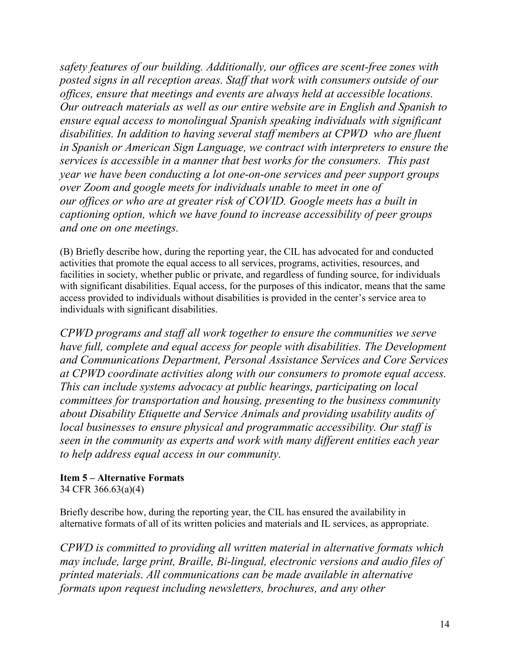*safety features of our building. Additionally, our offices are scent-free zones with posted signs in all reception areas. Staff that work with consumers outside of our offices, ensure that meetings and events are always held at accessible locations. Our outreach materials as well as our entire website are in English and Spanish to ensure equal access to monolingual Spanish speaking individuals with significant disabilities. In addition to having several staff members at CPWD who are fluent in Spanish or American Sign Language, we contract with interpreters to ensure the services is accessible in a manner that best works for the consumers. This past year we have been conducting a lot one-on-one services and peer support groups over Zoom and google meets for individuals unable to meet in one of our offices or who are at greater risk of COVID. Google meets has a built in captioning option, which we have found to increase accessibility of peer groups and one on one meetings.* 

(B) Briefly describe how, during the reporting year, the CIL has advocated for and conducted activities that promote the equal access to all services, programs, activities, resources, and facilities in society, whether public or private, and regardless of funding source, for individuals with significant disabilities. Equal access, for the purposes of this indicator, means that the same access provided to individuals without disabilities is provided in the center's service area to individuals with significant disabilities.

*CPWD programs and staff all work together to ensure the communities we serve have full, complete and equal access for people with disabilities. The Development and Communications Department, Personal Assistance Services and Core Services at CPWD coordinate activities along with our consumers to promote equal access. This can include systems advocacy at public hearings, participating on local committees for transportation and housing, presenting to the business community about Disability Etiquette and Service Animals and providing usability audits of local businesses to ensure physical and programmatic accessibility. Our staff is seen in the community as experts and work with many different entities each year to help address equal access in our community.*

#### **Item 5 – Alternative Formats**

34 CFR 366.63(a)(4)

Briefly describe how, during the reporting year, the CIL has ensured the availability in alternative formats of all of its written policies and materials and IL services, as appropriate.

*CPWD is committed to providing all written material in alternative formats which may include, large print, Braille, Bi-lingual, electronic versions and audio files of printed materials. All communications can be made available in alternative formats upon request including newsletters, brochures, and any other*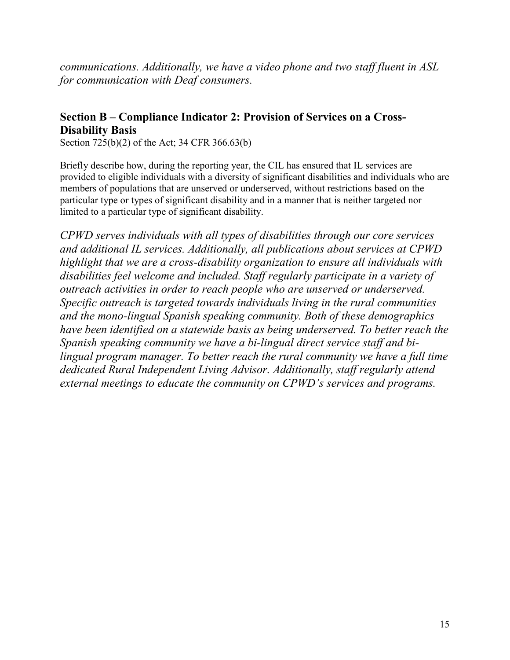*communications. Additionally, we have a video phone and two staff fluent in ASL for communication with Deaf consumers.* 

### **Section B – Compliance Indicator 2: Provision of Services on a Cross-Disability Basis**

Section 725(b)(2) of the Act; 34 CFR 366.63(b)

Briefly describe how, during the reporting year, the CIL has ensured that IL services are provided to eligible individuals with a diversity of significant disabilities and individuals who are members of populations that are unserved or underserved, without restrictions based on the particular type or types of significant disability and in a manner that is neither targeted nor limited to a particular type of significant disability.

*CPWD serves individuals with all types of disabilities through our core services and additional IL services. Additionally, all publications about services at CPWD highlight that we are a cross-disability organization to ensure all individuals with disabilities feel welcome and included. Staff regularly participate in a variety of outreach activities in order to reach people who are unserved or underserved. Specific outreach is targeted towards individuals living in the rural communities and the mono-lingual Spanish speaking community. Both of these demographics have been identified on a statewide basis as being underserved. To better reach the Spanish speaking community we have a bi-lingual direct service staff and bilingual program manager. To better reach the rural community we have a full time dedicated Rural Independent Living Advisor. Additionally, staff regularly attend external meetings to educate the community on CPWD's services and programs.*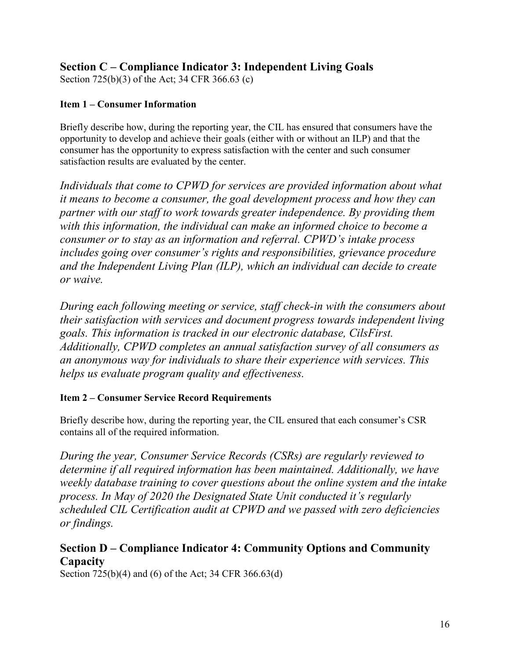### **Section C – Compliance Indicator 3: Independent Living Goals**

Section 725(b)(3) of the Act; 34 CFR 366.63 (c)

#### **Item 1 – Consumer Information**

Briefly describe how, during the reporting year, the CIL has ensured that consumers have the opportunity to develop and achieve their goals (either with or without an ILP) and that the consumer has the opportunity to express satisfaction with the center and such consumer satisfaction results are evaluated by the center.

*Individuals that come to CPWD for services are provided information about what it means to become a consumer, the goal development process and how they can partner with our staff to work towards greater independence. By providing them with this information, the individual can make an informed choice to become a consumer or to stay as an information and referral. CPWD's intake process includes going over consumer's rights and responsibilities, grievance procedure and the Independent Living Plan (ILP), which an individual can decide to create or waive.*

*During each following meeting or service, staff check-in with the consumers about their satisfaction with services and document progress towards independent living goals. This information is tracked in our electronic database, CilsFirst. Additionally, CPWD completes an annual satisfaction survey of all consumers as an anonymous way for individuals to share their experience with services. This helps us evaluate program quality and effectiveness.*

#### **Item 2 – Consumer Service Record Requirements**

Briefly describe how, during the reporting year, the CIL ensured that each consumer's CSR contains all of the required information.

*During the year, Consumer Service Records (CSRs) are regularly reviewed to determine if all required information has been maintained. Additionally, we have weekly database training to cover questions about the online system and the intake process. In May of 2020 the Designated State Unit conducted it's regularly scheduled CIL Certification audit at CPWD and we passed with zero deficiencies or findings.* 

### **Section D – Compliance Indicator 4: Community Options and Community Capacity**

Section 725(b)(4) and (6) of the Act; 34 CFR 366.63(d)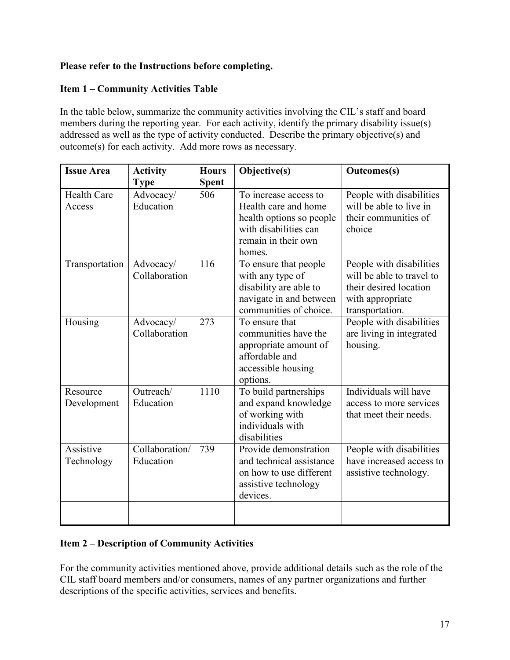#### **Please refer to the Instructions before completing.**

#### **Item 1 – Community Activities Table**

In the table below, summarize the community activities involving the CIL's staff and board members during the reporting year. For each activity, identify the primary disability issue(s) addressed as well as the type of activity conducted. Describe the primary objective(s) and outcome(s) for each activity. Add more rows as necessary.

| <b>Issue Area</b>            | <b>Activity</b>             | <b>Hours</b> | Objective(s)                                                                                                                        | <b>Outcomes(s)</b>                                                                                                     |
|------------------------------|-----------------------------|--------------|-------------------------------------------------------------------------------------------------------------------------------------|------------------------------------------------------------------------------------------------------------------------|
|                              | <b>Type</b>                 | <b>Spent</b> |                                                                                                                                     |                                                                                                                        |
| <b>Health Care</b><br>Access | Advocacy/<br>Education      | 506          | To increase access to<br>Health care and home<br>health options so people<br>with disabilities can<br>remain in their own<br>homes. | People with disabilities<br>will be able to live in<br>their communities of<br>choice                                  |
| Transportation               | Advocacy/<br>Collaboration  | 116          | To ensure that people<br>with any type of<br>disability are able to<br>navigate in and between<br>communities of choice.            | People with disabilities<br>will be able to travel to<br>their desired location<br>with appropriate<br>transportation. |
| Housing                      | Advocacy/<br>Collaboration  | 273          | To ensure that<br>communities have the<br>appropriate amount of<br>affordable and<br>accessible housing<br>options.                 | People with disabilities<br>are living in integrated<br>housing.                                                       |
| Resource<br>Development      | Outreach/<br>Education      | 1110         | To build partnerships<br>and expand knowledge<br>of working with<br>individuals with<br>disabilities                                | Individuals will have<br>access to more services<br>that meet their needs.                                             |
| Assistive<br>Technology      | Collaboration/<br>Education | 739          | Provide demonstration<br>and technical assistance<br>on how to use different<br>assistive technology<br>devices.                    | People with disabilities<br>have increased access to<br>assistive technology.                                          |
|                              |                             |              |                                                                                                                                     |                                                                                                                        |

#### **Item 2 – Description of Community Activities**

For the community activities mentioned above, provide additional details such as the role of the CIL staff board members and/or consumers, names of any partner organizations and further descriptions of the specific activities, services and benefits.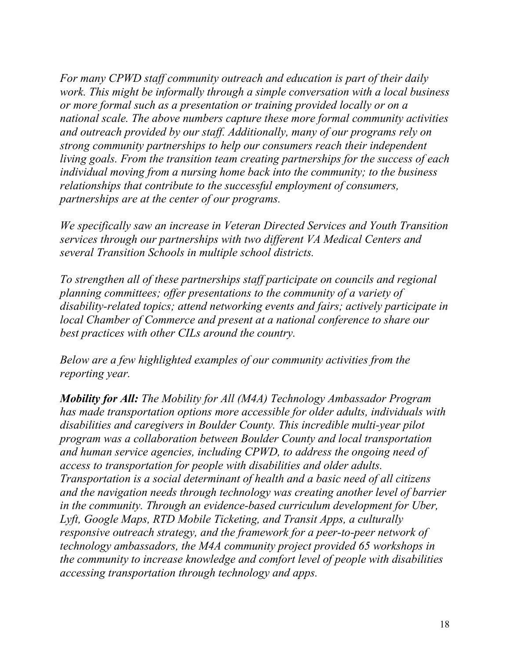*For many CPWD staff community outreach and education is part of their daily work. This might be informally through a simple conversation with a local business or more formal such as a presentation or training provided locally or on a national scale. The above numbers capture these more formal community activities and outreach provided by our staff. Additionally, many of our programs rely on strong community partnerships to help our consumers reach their independent living goals. From the transition team creating partnerships for the success of each individual moving from a nursing home back into the community; to the business relationships that contribute to the successful employment of consumers, partnerships are at the center of our programs.*

*We specifically saw an increase in Veteran Directed Services and Youth Transition services through our partnerships with two different VA Medical Centers and several Transition Schools in multiple school districts.*

*To strengthen all of these partnerships staff participate on councils and regional planning committees; offer presentations to the community of a variety of disability-related topics; attend networking events and fairs; actively participate in local Chamber of Commerce and present at a national conference to share our best practices with other CILs around the country.*

*Below are a few highlighted examples of our community activities from the reporting year.*

*Mobility for All: The Mobility for All (M4A) Technology Ambassador Program has made transportation options more accessible for older adults, individuals with disabilities and caregivers in Boulder County. This incredible multi-year pilot program was a collaboration between Boulder County and local transportation and human service agencies, including CPWD, to address the ongoing need of access to transportation for people with disabilities and older adults. Transportation is a social determinant of health and a basic need of all citizens and the navigation needs through technology was creating another level of barrier in the community. Through an evidence-based curriculum development for Uber, Lyft, Google Maps, RTD Mobile Ticketing, and Transit Apps, a culturally responsive outreach strategy, and the framework for a peer-to-peer network of technology ambassadors, the M4A community project provided 65 workshops in the community to increase knowledge and comfort level of people with disabilities accessing transportation through technology and apps.*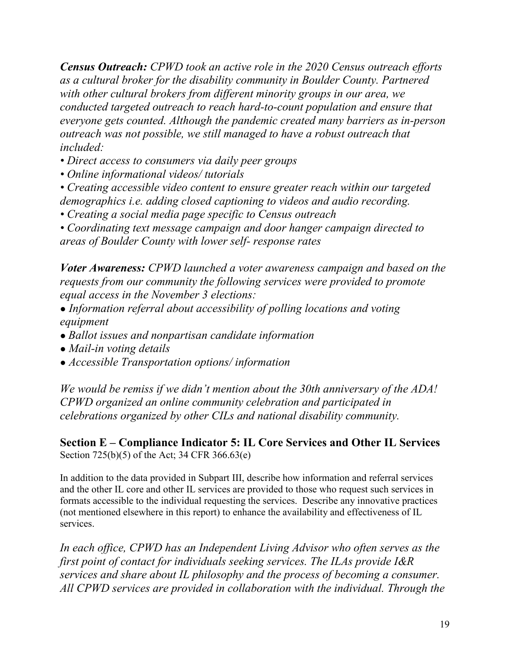*Census Outreach: CPWD took an active role in the 2020 Census outreach efforts as a cultural broker for the disability community in Boulder County. Partnered with other cultural brokers from different minority groups in our area, we conducted targeted outreach to reach hard-to-count population and ensure that everyone gets counted. Although the pandemic created many barriers as in-person outreach was not possible, we still managed to have a robust outreach that included:*

- *Direct access to consumers via daily peer groups*
- *Online informational videos/ tutorials*

*• Creating accessible video content to ensure greater reach within our targeted demographics i.e. adding closed captioning to videos and audio recording.* 

*• Creating a social media page specific to Census outreach* 

*• Coordinating text message campaign and door hanger campaign directed to areas of Boulder County with lower self- response rates*

*Voter Awareness: CPWD launched a voter awareness campaign and based on the requests from our community the following services were provided to promote equal access in the November 3 elections:*

- *● Information referral about accessibility of polling locations and voting equipment*
- *Ballot issues and nonpartisan candidate information*
- *● Mail-in voting details*
- *● Accessible Transportation options/ information*

*We would be remiss if we didn't mention about the 30th anniversary of the ADA! CPWD organized an online community celebration and participated in celebrations organized by other CILs and national disability community.* 

**Section E – Compliance Indicator 5: IL Core Services and Other IL Services** Section 725(b)(5) of the Act; 34 CFR 366.63(e)

In addition to the data provided in Subpart III, describe how information and referral services and the other IL core and other IL services are provided to those who request such services in formats accessible to the individual requesting the services. Describe any innovative practices (not mentioned elsewhere in this report) to enhance the availability and effectiveness of IL services.

*In each office, CPWD has an Independent Living Advisor who often serves as the first point of contact for individuals seeking services. The ILAs provide I&R services and share about IL philosophy and the process of becoming a consumer. All CPWD services are provided in collaboration with the individual. Through the*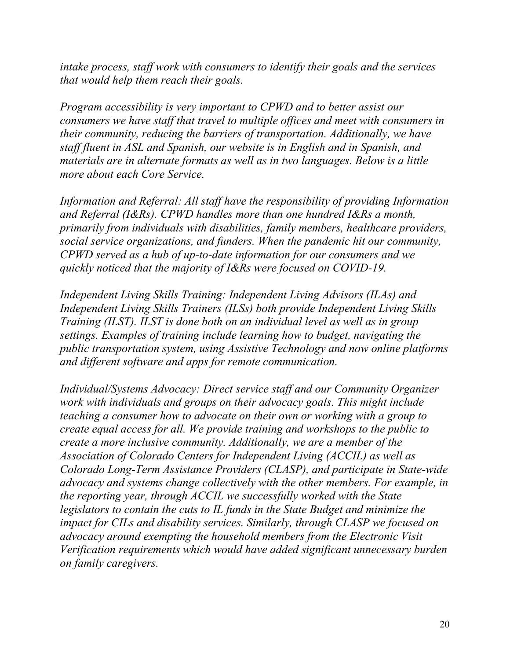*intake process, staff work with consumers to identify their goals and the services that would help them reach their goals.*

*Program accessibility is very important to CPWD and to better assist our consumers we have staff that travel to multiple offices and meet with consumers in their community, reducing the barriers of transportation. Additionally, we have staff fluent in ASL and Spanish, our website is in English and in Spanish, and materials are in alternate formats as well as in two languages. Below is a little more about each Core Service.*

*Information and Referral: All staff have the responsibility of providing Information and Referral (I&Rs). CPWD handles more than one hundred I&Rs a month, primarily from individuals with disabilities, family members, healthcare providers, social service organizations, and funders. When the pandemic hit our community, CPWD served as a hub of up-to-date information for our consumers and we quickly noticed that the majority of I&Rs were focused on COVID-19.* 

*Independent Living Skills Training: Independent Living Advisors (ILAs) and Independent Living Skills Trainers (ILSs) both provide Independent Living Skills Training (ILST). ILST is done both on an individual level as well as in group settings. Examples of training include learning how to budget, navigating the public transportation system, using Assistive Technology and now online platforms and different software and apps for remote communication.*

*Individual/Systems Advocacy: Direct service staff and our Community Organizer work with individuals and groups on their advocacy goals. This might include teaching a consumer how to advocate on their own or working with a group to create equal access for all. We provide training and workshops to the public to create a more inclusive community. Additionally, we are a member of the Association of Colorado Centers for Independent Living (ACCIL) as well as Colorado Long-Term Assistance Providers (CLASP), and participate in State-wide advocacy and systems change collectively with the other members. For example, in the reporting year, through ACCIL we successfully worked with the State legislators to contain the cuts to IL funds in the State Budget and minimize the impact for CILs and disability services. Similarly, through CLASP we focused on advocacy around exempting the household members from the Electronic Visit Verification requirements which would have added significant unnecessary burden on family caregivers.*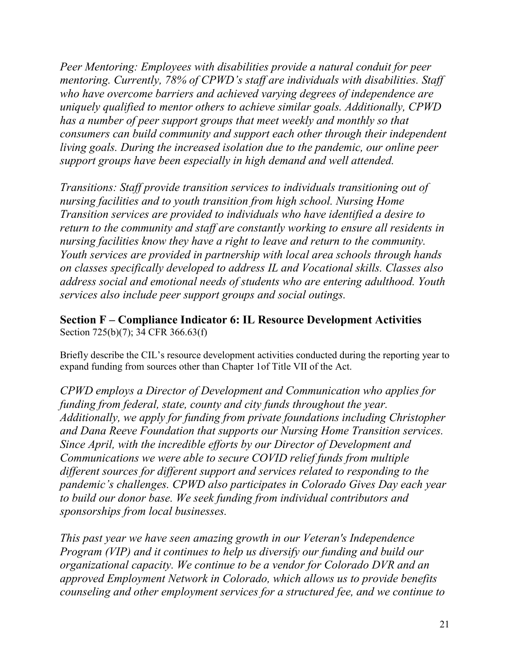*Peer Mentoring: Employees with disabilities provide a natural conduit for peer mentoring. Currently, 78% of CPWD's staff are individuals with disabilities. Staff who have overcome barriers and achieved varying degrees of independence are uniquely qualified to mentor others to achieve similar goals. Additionally, CPWD has a number of peer support groups that meet weekly and monthly so that consumers can build community and support each other through their independent living goals. During the increased isolation due to the pandemic, our online peer support groups have been especially in high demand and well attended.* 

*Transitions: Staff provide transition services to individuals transitioning out of nursing facilities and to youth transition from high school. Nursing Home Transition services are provided to individuals who have identified a desire to return to the community and staff are constantly working to ensure all residents in nursing facilities know they have a right to leave and return to the community. Youth services are provided in partnership with local area schools through hands on classes specifically developed to address IL and Vocational skills. Classes also address social and emotional needs of students who are entering adulthood. Youth services also include peer support groups and social outings.*

**Section F – Compliance Indicator 6: IL Resource Development Activities** Section 725(b)(7); 34 CFR 366.63(f)

Briefly describe the CIL's resource development activities conducted during the reporting year to expand funding from sources other than Chapter 1of Title VII of the Act.

*CPWD employs a Director of Development and Communication who applies for funding from federal, state, county and city funds throughout the year. Additionally, we apply for funding from private foundations including Christopher and Dana Reeve Foundation that supports our Nursing Home Transition services. Since April, with the incredible efforts by our Director of Development and Communications we were able to secure COVID relief funds from multiple different sources for different support and services related to responding to the pandemic's challenges. CPWD also participates in Colorado Gives Day each year to build our donor base. We seek funding from individual contributors and sponsorships from local businesses.* 

*This past year we have seen amazing growth in our Veteran's Independence Program (VIP) and it continues to help us diversify our funding and build our organizational capacity. We continue to be a vendor for Colorado DVR and an approved Employment Network in Colorado, which allows us to provide benefits counseling and other employment services for a structured fee, and we continue to*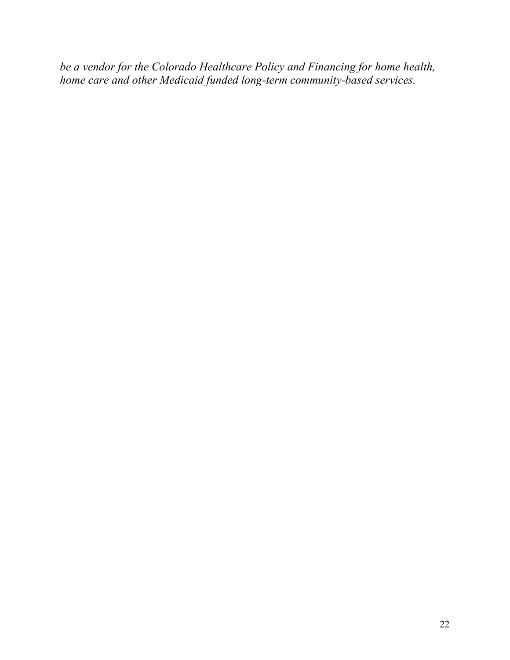*be a vendor for the Colorado Healthcare Policy and Financing for home health, home care and other Medicaid funded long-term community-based services.*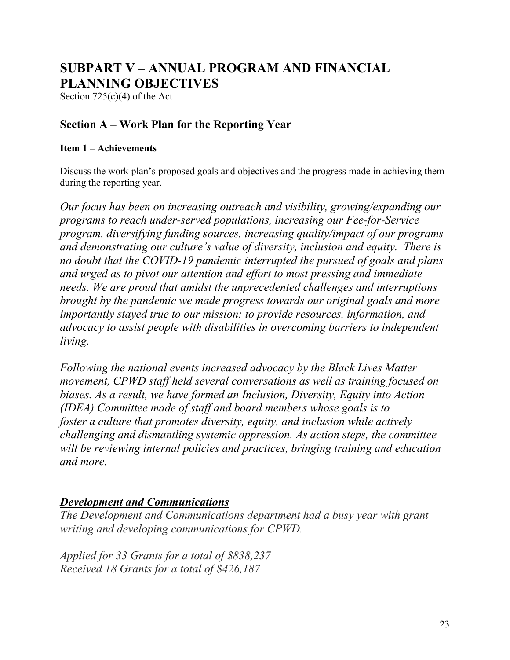# **SUBPART V – ANNUAL PROGRAM AND FINANCIAL PLANNING OBJECTIVES**

Section  $725(c)(4)$  of the Act

### **Section A – Work Plan for the Reporting Year**

#### **Item 1 – Achievements**

Discuss the work plan's proposed goals and objectives and the progress made in achieving them during the reporting year.

*Our focus has been on increasing outreach and visibility, growing/expanding our programs to reach under-served populations, increasing our Fee-for-Service program, diversifying funding sources, increasing quality/impact of our programs and demonstrating our culture's value of diversity, inclusion and equity. There is no doubt that the COVID-19 pandemic interrupted the pursued of goals and plans and urged as to pivot our attention and effort to most pressing and immediate needs. We are proud that amidst the unprecedented challenges and interruptions brought by the pandemic we made progress towards our original goals and more importantly stayed true to our mission: to provide resources, information, and advocacy to assist people with disabilities in overcoming barriers to independent living.*

*Following the national events increased advocacy by the Black Lives Matter movement, CPWD staff held several conversations as well as training focused on biases. As a result, we have formed an Inclusion, Diversity, Equity into Action (IDEA) Committee made of staff and board members whose goals is to foster a culture that promotes diversity, equity, and inclusion while actively challenging and dismantling systemic oppression. As action steps, the committee will be reviewing internal policies and practices, bringing training and education and more.* 

### *Development and Communications*

*The Development and Communications department had a busy year with grant writing and developing communications for CPWD.*

*Applied for 33 Grants for a total of \$838,237 Received 18 Grants for a total of \$426,187*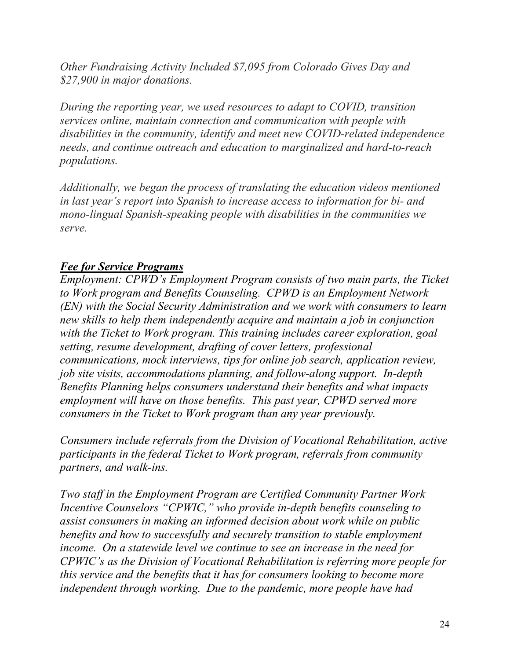*Other Fundraising Activity Included \$7,095 from Colorado Gives Day and \$27,900 in major donations.*

*During the reporting year, we used resources to adapt to COVID, transition services online, maintain connection and communication with people with disabilities in the community, identify and meet new COVID-related independence needs, and continue outreach and education to marginalized and hard-to-reach populations.*

*Additionally, we began the process of translating the education videos mentioned in last year's report into Spanish to increase access to information for bi- and mono-lingual Spanish-speaking people with disabilities in the communities we serve.*

### *Fee for Service Programs*

*Employment: CPWD's Employment Program consists of two main parts, the Ticket to Work program and Benefits Counseling. CPWD is an Employment Network (EN) with the Social Security Administration and we work with consumers to learn new skills to help them independently acquire and maintain a job in conjunction with the Ticket to Work program. This training includes career exploration, goal setting, resume development, drafting of cover letters, professional communications, mock interviews, tips for online job search, application review, job site visits, accommodations planning, and follow-along support. In-depth Benefits Planning helps consumers understand their benefits and what impacts employment will have on those benefits. This past year, CPWD served more consumers in the Ticket to Work program than any year previously.*

*Consumers include referrals from the Division of Vocational Rehabilitation, active participants in the federal Ticket to Work program, referrals from community partners, and walk-ins.* 

*Two staff in the Employment Program are Certified Community Partner Work Incentive Counselors "CPWIC," who provide in-depth benefits counseling to assist consumers in making an informed decision about work while on public benefits and how to successfully and securely transition to stable employment income. On a statewide level we continue to see an increase in the need for CPWIC's as the Division of Vocational Rehabilitation is referring more people for this service and the benefits that it has for consumers looking to become more independent through working. Due to the pandemic, more people have had*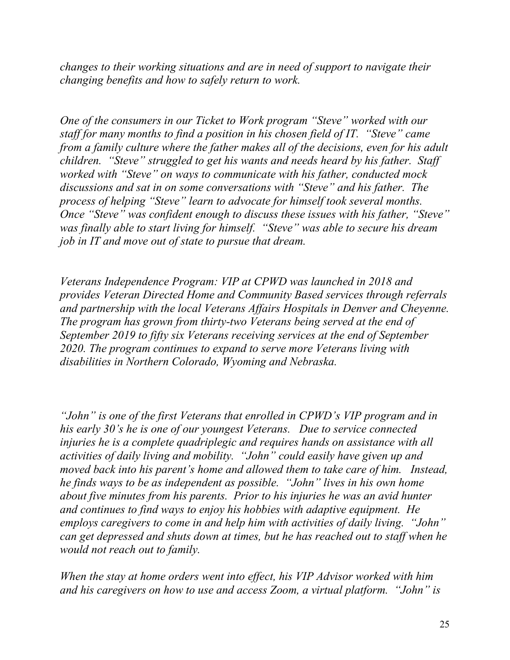*changes to their working situations and are in need of support to navigate their changing benefits and how to safely return to work.*

*One of the consumers in our Ticket to Work program "Steve" worked with our staff for many months to find a position in his chosen field of IT. "Steve" came from a family culture where the father makes all of the decisions, even for his adult children. "Steve" struggled to get his wants and needs heard by his father. Staff worked with "Steve" on ways to communicate with his father, conducted mock discussions and sat in on some conversations with "Steve" and his father. The process of helping "Steve" learn to advocate for himself took several months. Once "Steve" was confident enough to discuss these issues with his father, "Steve" was finally able to start living for himself. "Steve" was able to secure his dream job in IT and move out of state to pursue that dream.*

*Veterans Independence Program: VIP at CPWD was launched in 2018 and provides Veteran Directed Home and Community Based services through referrals and partnership with the local Veterans Affairs Hospitals in Denver and Cheyenne. The program has grown from thirty-two Veterans being served at the end of September 2019 to fifty six Veterans receiving services at the end of September 2020. The program continues to expand to serve more Veterans living with disabilities in Northern Colorado, Wyoming and Nebraska.*

*"John" is one of the first Veterans that enrolled in CPWD's VIP program and in his early 30's he is one of our youngest Veterans. Due to service connected injuries he is a complete quadriplegic and requires hands on assistance with all activities of daily living and mobility. "John" could easily have given up and moved back into his parent's home and allowed them to take care of him. Instead, he finds ways to be as independent as possible. "John" lives in his own home about five minutes from his parents. Prior to his injuries he was an avid hunter and continues to find ways to enjoy his hobbies with adaptive equipment. He employs caregivers to come in and help him with activities of daily living. "John" can get depressed and shuts down at times, but he has reached out to staff when he would not reach out to family.*

*When the stay at home orders went into effect, his VIP Advisor worked with him and his caregivers on how to use and access Zoom, a virtual platform. "John" is*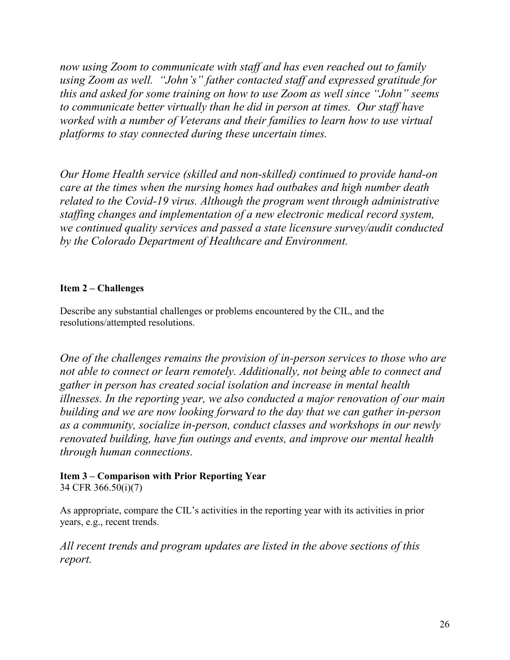*now using Zoom to communicate with staff and has even reached out to family using Zoom as well. "John's" father contacted staff and expressed gratitude for this and asked for some training on how to use Zoom as well since "John" seems to communicate better virtually than he did in person at times. Our staff have worked with a number of Veterans and their families to learn how to use virtual platforms to stay connected during these uncertain times.*

*Our Home Health service (skilled and non-skilled) continued to provide hand-on care at the times when the nursing homes had outbakes and high number death related to the Covid-19 virus. Although the program went through administrative staffing changes and implementation of a new electronic medical record system, we continued quality services and passed a state licensure survey/audit conducted by the Colorado Department of Healthcare and Environment.*

#### **Item 2 – Challenges**

Describe any substantial challenges or problems encountered by the CIL, and the resolutions/attempted resolutions.

*One of the challenges remains the provision of in-person services to those who are not able to connect or learn remotely. Additionally, not being able to connect and gather in person has created social isolation and increase in mental health illnesses. In the reporting year, we also conducted a major renovation of our main building and we are now looking forward to the day that we can gather in-person as a community, socialize in-person, conduct classes and workshops in our newly renovated building, have fun outings and events, and improve our mental health through human connections.*

### **Item 3 – Comparison with Prior Reporting Year**

34 CFR 366.50(i)(7)

As appropriate, compare the CIL's activities in the reporting year with its activities in prior years, e.g., recent trends.

*All recent trends and program updates are listed in the above sections of this report.*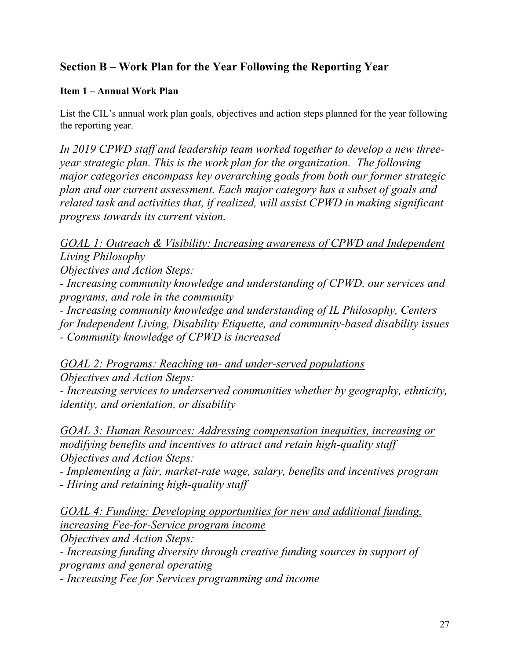# **Section B – Work Plan for the Year Following the Reporting Year**

#### **Item 1 – Annual Work Plan**

List the CIL's annual work plan goals, objectives and action steps planned for the year following the reporting year.

*In 2019 CPWD staff and leadership team worked together to develop a new threeyear strategic plan. This is the work plan for the organization. The following major categories encompass key overarching goals from both our former strategic plan and our current assessment. Each major category has a subset of goals and related task and activities that, if realized, will assist CPWD in making significant progress towards its current vision.*

*GOAL 1: Outreach & Visibility: Increasing awareness of CPWD and Independent Living Philosophy* 

*Objectives and Action Steps:*

*- Increasing community knowledge and understanding of CPWD, our services and programs, and role in the community*

*- Increasing community knowledge and understanding of IL Philosophy, Centers for Independent Living, Disability Etiquette, and community-based disability issues - Community knowledge of CPWD is increased*

*GOAL 2: Programs: Reaching un- and under-served populations Objectives and Action Steps:*

*- Increasing services to underserved communities whether by geography, ethnicity, identity, and orientation, or disability*

*GOAL 3: Human Resources: Addressing compensation inequities, increasing or modifying benefits and incentives to attract and retain high-quality staff Objectives and Action Steps:*

*- Implementing a fair, market-rate wage, salary, benefits and incentives program - Hiring and retaining high-quality staff*

*GOAL 4: Funding: Developing opportunities for new and additional funding, increasing Fee-for-Service program income*

*Objectives and Action Steps:*

*- Increasing funding diversity through creative funding sources in support of programs and general operating*

*- Increasing Fee for Services programming and income*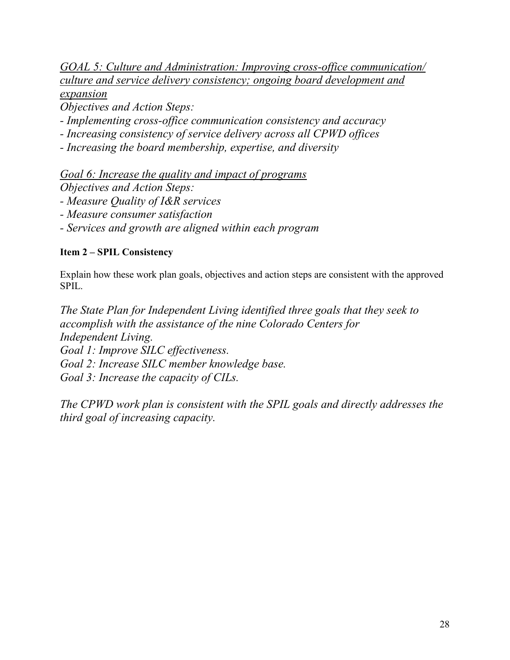*GOAL 5: Culture and Administration: Improving cross-office communication/ culture and service delivery consistency; ongoing board development and expansion*

*Objectives and Action Steps:*

*- Implementing cross-office communication consistency and accuracy*

*- Increasing consistency of service delivery across all CPWD offices*

*- Increasing the board membership, expertise, and diversity*

*Goal 6: Increase the quality and impact of programs Objectives and Action Steps:*

*- Measure Quality of I&R services*

*- Measure consumer satisfaction*

*- Services and growth are aligned within each program*

#### **Item 2 – SPIL Consistency**

Explain how these work plan goals, objectives and action steps are consistent with the approved SPIL.

*The State Plan for Independent Living identified three goals that they seek to accomplish with the assistance of the nine Colorado Centers for Independent Living. Goal 1: Improve SILC effectiveness. Goal 2: Increase SILC member knowledge base. Goal 3: Increase the capacity of CILs.*

*The CPWD work plan is consistent with the SPIL goals and directly addresses the third goal of increasing capacity.*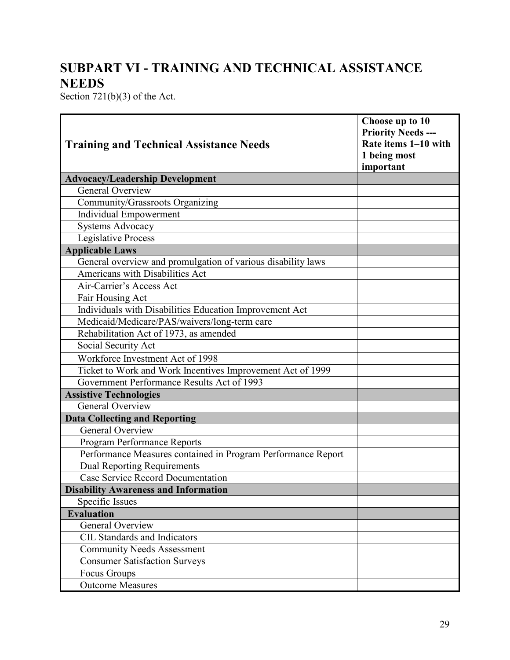# **SUBPART VI - TRAINING AND TECHNICAL ASSISTANCE NEEDS**

Section 721(b)(3) of the Act.

| <b>Training and Technical Assistance Needs</b>               | Choose up to 10<br><b>Priority Needs ---</b><br>Rate items 1-10 with<br>1 being most<br>important |
|--------------------------------------------------------------|---------------------------------------------------------------------------------------------------|
| <b>Advocacy/Leadership Development</b>                       |                                                                                                   |
| <b>General Overview</b>                                      |                                                                                                   |
| Community/Grassroots Organizing                              |                                                                                                   |
| Individual Empowerment                                       |                                                                                                   |
| <b>Systems Advocacy</b>                                      |                                                                                                   |
| <b>Legislative Process</b>                                   |                                                                                                   |
| <b>Applicable Laws</b>                                       |                                                                                                   |
| General overview and promulgation of various disability laws |                                                                                                   |
| Americans with Disabilities Act                              |                                                                                                   |
| Air-Carrier's Access Act                                     |                                                                                                   |
| Fair Housing Act                                             |                                                                                                   |
| Individuals with Disabilities Education Improvement Act      |                                                                                                   |
| Medicaid/Medicare/PAS/waivers/long-term care                 |                                                                                                   |
| Rehabilitation Act of 1973, as amended                       |                                                                                                   |
| Social Security Act                                          |                                                                                                   |
| Workforce Investment Act of 1998                             |                                                                                                   |
| Ticket to Work and Work Incentives Improvement Act of 1999   |                                                                                                   |
| Government Performance Results Act of 1993                   |                                                                                                   |
| <b>Assistive Technologies</b>                                |                                                                                                   |
| General Overview                                             |                                                                                                   |
| <b>Data Collecting and Reporting</b>                         |                                                                                                   |
| General Overview                                             |                                                                                                   |
| Program Performance Reports                                  |                                                                                                   |
| Performance Measures contained in Program Performance Report |                                                                                                   |
| Dual Reporting Requirements                                  |                                                                                                   |
| Case Service Record Documentation                            |                                                                                                   |
| <b>Disability Awareness and Information</b>                  |                                                                                                   |
| Specific Issues                                              |                                                                                                   |
| <b>Evaluation</b>                                            |                                                                                                   |
| General Overview                                             |                                                                                                   |
| <b>CIL Standards and Indicators</b>                          |                                                                                                   |
| <b>Community Needs Assessment</b>                            |                                                                                                   |
| <b>Consumer Satisfaction Surveys</b>                         |                                                                                                   |
| Focus Groups                                                 |                                                                                                   |
| <b>Outcome Measures</b>                                      |                                                                                                   |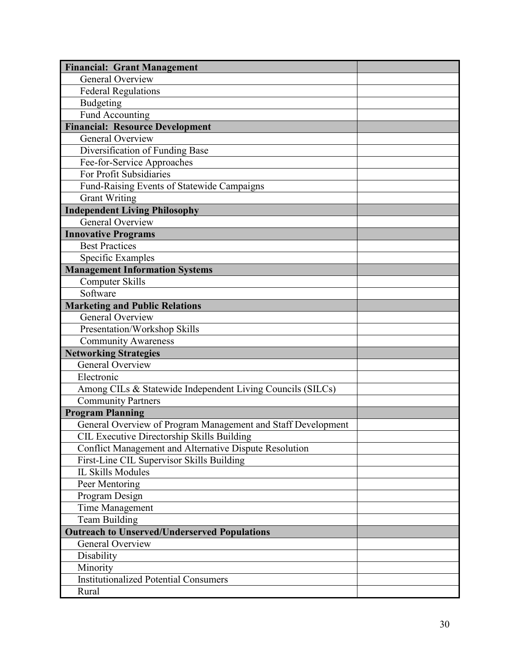| <b>Financial: Grant Management</b>                                    |  |
|-----------------------------------------------------------------------|--|
| General Overview                                                      |  |
| Federal Regulations                                                   |  |
| Budgeting                                                             |  |
| <b>Fund Accounting</b>                                                |  |
| <b>Financial: Resource Development</b>                                |  |
| General Overview                                                      |  |
| Diversification of Funding Base                                       |  |
| Fee-for-Service Approaches                                            |  |
| For Profit Subsidiaries                                               |  |
| Fund-Raising Events of Statewide Campaigns                            |  |
| <b>Grant Writing</b>                                                  |  |
| <b>Independent Living Philosophy</b>                                  |  |
| <b>General Overview</b>                                               |  |
| <b>Innovative Programs</b>                                            |  |
| <b>Best Practices</b>                                                 |  |
| Specific Examples                                                     |  |
| <b>Management Information Systems</b>                                 |  |
| <b>Computer Skills</b>                                                |  |
| Software                                                              |  |
| <b>Marketing and Public Relations</b>                                 |  |
| <b>General Overview</b>                                               |  |
| Presentation/Workshop Skills                                          |  |
| <b>Community Awareness</b>                                            |  |
| <b>Networking Strategies</b>                                          |  |
| <b>General Overview</b>                                               |  |
| Electronic                                                            |  |
| Among CILs & Statewide Independent Living Councils (SILCs)            |  |
| <b>Community Partners</b>                                             |  |
| <b>Program Planning</b>                                               |  |
| General Overview of Program Management and Staff Development          |  |
| CIL Executive Directorship Skills Building                            |  |
| Conflict Management and Alternative Dispute Resolution                |  |
| First-Line CIL Supervisor Skills Building<br><b>IL Skills Modules</b> |  |
| Peer Mentoring                                                        |  |
| Program Design                                                        |  |
|                                                                       |  |
| Time Management                                                       |  |
| Team Building<br><b>Outreach to Unserved/Underserved Populations</b>  |  |
| General Overview                                                      |  |
| Disability                                                            |  |
| Minority                                                              |  |
| <b>Institutionalized Potential Consumers</b>                          |  |
| Rural                                                                 |  |
|                                                                       |  |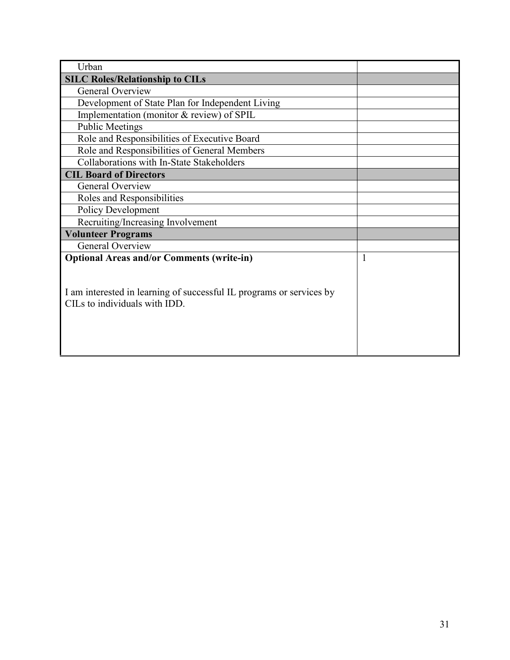| Urban                                                                                                 |   |
|-------------------------------------------------------------------------------------------------------|---|
| <b>SILC Roles/Relationship to CILs</b>                                                                |   |
| <b>General Overview</b>                                                                               |   |
| Development of State Plan for Independent Living                                                      |   |
| Implementation (monitor & review) of SPIL                                                             |   |
| <b>Public Meetings</b>                                                                                |   |
| Role and Responsibilities of Executive Board                                                          |   |
| Role and Responsibilities of General Members                                                          |   |
| Collaborations with In-State Stakeholders                                                             |   |
| <b>CIL Board of Directors</b>                                                                         |   |
| <b>General Overview</b>                                                                               |   |
| Roles and Responsibilities                                                                            |   |
| <b>Policy Development</b>                                                                             |   |
| Recruiting/Increasing Involvement                                                                     |   |
| <b>Volunteer Programs</b>                                                                             |   |
| <b>General Overview</b>                                                                               |   |
| <b>Optional Areas and/or Comments (write-in)</b>                                                      | 1 |
| I am interested in learning of successful IL programs or services by<br>CILs to individuals with IDD. |   |
|                                                                                                       |   |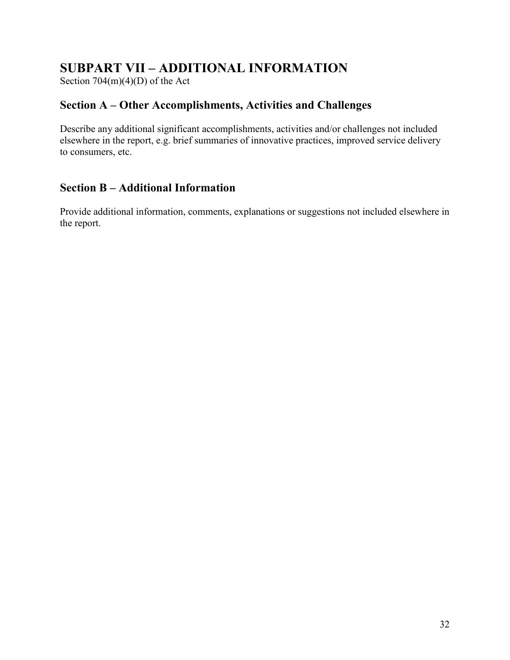# **SUBPART VII – ADDITIONAL INFORMATION**

Section 704(m)(4)(D) of the Act

### **Section A – Other Accomplishments, Activities and Challenges**

Describe any additional significant accomplishments, activities and/or challenges not included elsewhere in the report, e.g. brief summaries of innovative practices, improved service delivery to consumers, etc.

### **Section B – Additional Information**

Provide additional information, comments, explanations or suggestions not included elsewhere in the report.